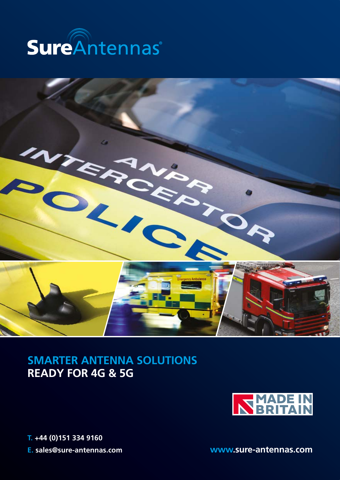



# **SMARTER ANTENNA SOLUTIONS READY FOR 4G & 5G**



**www.sure-antennas.com A** brand office  $\mathbf{A}$ **T. +44 (0)151 334 9160** 

**E. sales@sure-antennas.com www.sure-antennas.com**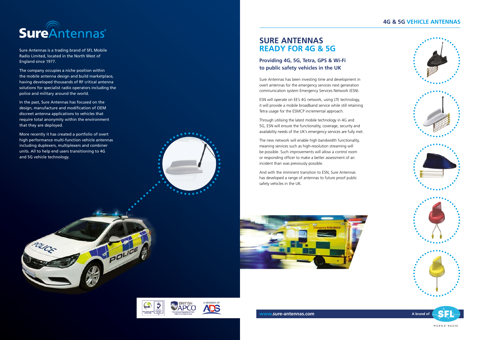## **4G & 5G VEHICLE ANTENNAS**



Sure Antennas is a trading brand of SFL Mobile Radio Limited, located in the North West of England since 1977.

The company occupies a niche position within the mobile antenna design and build marketplace, having developed thousands of RF critical antenna solutions for specialist radio operators including the police and military around the world.

In the past, Sure Antennas has focused on the design, manufacture and modification of OEM discreet antenna applications to vehicles that require total anonymity within the environment that they are deployed.

More recently it has created a portfolio of overt high performance multi-function vehicle antennas including duplexers, multiplexers and combiner units. All to help end users transitioning to 4G and 5G vehicle technology.

Pource &



**ERITISH** 

**ADS** 

# **SURE ANTENNAS READY FOR 4G & 5G**

**Providing 4G, 5G, Tetra, GPS & Wi-Fi to public safety vehicles in the UK**

Sure Antennas has been investing time and development in overt antennas for the emergency services next generation communication system Emergency Services Network (ESN).

ESN will operate on EE's 4G network, using LTE technology, it will provide a mobile broadband service while still retaining Tetra usage for the ESMCP incremental approach.

Through utilising the latest mobile technology in 4G and 5G, ESN will ensure the functionality, coverage, security and availability needs of the UK's emergency services are fully met.

The new network will enable high bandwidth functionality, meaning services such as high-resolution streaming will be possible. Such improvements will allow a control room or responding officer to make a better assessment of an incident than was previously possible.

And with the imminent transition to ESN, Sure Antennas has developed a range of antennas to future proof public safety vehicles in the UK.





| **E. sales@sure-antennas.com www.sure-antennas.com A brand of**

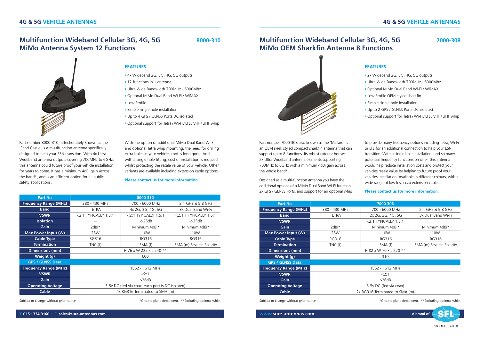## **4G & 5G VEHICLE ANTENNAS 4G & 5G VEHICLE ANTENNAS**

## **Multifunction Wideband Cellular 3G, 4G, 5G** 8000-310 **MiMo Antenna System 12 Functions**



Part number 8000-310, affectionately known as the 'Sand Castle' is a multifunction antenna specifically designed to help your ESN transition. With 4x Ultra Wideband antenna outputs covering 700MHz to 6GHz, this antenna could future proof your vehicle installation for years to come. It has a minimum 4dBi gain across the band\*, and is an efficient option for all public safety applications.

### **FEATURES**

- **>** 4x Wideband 2G, 3G, 4G, 5G outputs
- **>** 12 functions in 1 antenna
- **>** Ultra Wide Bandwidth 700MHz 6000Mhz
- **>** Optional MiMo Dual Band Wi-Fi / WiMAX **>** Low Profile
- **>** Simple single hole installation
- **>** Up to 4 GPS / GLNSS Ports DC isolated
- **>** Optional support for Tetra / Wi-Fi / LTE / VHF / UHF whip

With the option of additional MiMo Dual Band Wi-Fi, and optional Tetra whip mounting, the need for drilling extra holes in your vehicles roof is long gone. And with a single hole fitting, cost of installation is reduced whilst protecting the resale value of your vehicle. Other variants are available including extension cable options.

**Please contact us for more information**.

| <b>Part No</b>               | 8000-310                                         |                         |                          |
|------------------------------|--------------------------------------------------|-------------------------|--------------------------|
| <b>Frequency Range (MHz)</b> | 380 - 430 MHz                                    | 700 - 6000 MHz          | 2.4 GHz & 5.8 GHz        |
| <b>Band</b>                  | <b>TETRA</b>                                     | 4x 2G, 3G, 4G, 5G       | 3x Dual Band Wi-Fi       |
| <b>VSWR</b>                  | $<$ 2:1 TYPICALLY 1.5:1                          | $<$ 2:1 TYPICALLY 1.5:1 | <2.1:1 TYPICALLY 1.5:1   |
| <b>Isolation</b>             |                                                  | $< -25dB$               | $< -25dB$                |
| <b>Gain</b>                  | 2dBi*                                            | Minimum 4dBi*           | Minimum 4dBi*            |
| Max Power Input (W)          | 25W                                              | 10W                     | 10W                      |
| <b>Cable Type</b>            | RG316                                            | RG316                   | RG316                    |
| <b>Termination</b>           | $TNC$ (f)                                        | SMA (f)                 | SMA (m) Reverse Polarity |
| Dimensions (mm)              | H 76 x W 225 x L 240 **                          |                         |                          |
| Weight (g)                   | 600                                              |                         |                          |
| <b>GPS / GLNSS Data</b>      |                                                  |                         |                          |
| <b>Frequency Range (MHz)</b> | 1562 - 1612 MHz                                  |                         |                          |
| <b>VSWR</b>                  | 2:1                                              |                         |                          |
| Gain                         | >26dB                                            |                         |                          |
| <b>Operating Voltage</b>     | 3-5v DC (fed via coax, each port is DC isolated) |                         |                          |
| Cable                        | 4x RG316 Terminated to SMA (m)                   |                         |                          |

Subject to change without prior notice. \*Ground plane dependent. \*\*Excluding optional whip. Subject to change without prior notice. \*Ground plane dependent. \*\*Excluding optional whip.

#### **T. 0151 334 9160** | **E. sales@sure-antennas.com www.sure-antennas.com A brand of**

## **Multifunction Wideband Cellular 3G, 4G, 5G 7000-308 MiMo OEM Sharkfin Antenna 8 Functions**



Part number 7000-308 also known as the 'Mallard' is an OEM sleek styled compact sharkfin antenna that can support up to 8 functions. Its robust exterior houses 2x Ultra Wideband antenna elements supporting 700MHz to 6GHz with a minimum 4dBi gain across the whole band\*.

Designed as a multi-function antenna you have the additional options of a MiMo Dual Band Wi-Fi function, 2x GPS / GLNSS Ports, and support for an optional whip

## **FEATURES**

- **>** 2x Wideband 2G, 3G, 4G, 5G outputs
- **>** Ultra Wide Bandwidth 700MHz 6000Mhz
- **>** Optional MiMo Dual Band Wi-Fi / WiMAX
- **>** Low Profile OEM styled sharkfin
- **>** Simple single hole installation
- **>** Up to 2 GPS / GLNSS Ports DC isolated
- **>** Optional support for Tetra / Wi-Fi / LTE / VHF / UHF whip

to provide many frequency options including Tetra, Wi-Fi or LTE for an additional connection to help your ESN transition. With a single hole installation, and so many potential frequency functions on offer, this antenna would help reduce installation costs and protect your vehicles resale value by helping to future proof your vehicles installation. Available in different colours, with a wide range of low loss coax extension cables.

#### **Please contact us for more information**.

| <b>Part No</b>               | 7000-308                       |                   |                          |
|------------------------------|--------------------------------|-------------------|--------------------------|
| <b>Frequency Range (MHz)</b> | 380 - 430 MHz                  | 700 - 6000 MHz    | 2.4 GHz & 5.8 GHz        |
| <b>Band</b>                  | TETRA                          | 2x 2G, 3G, 4G, 5G | 3x Dual Band Wi-Fi       |
| <b>VSWR</b>                  | $<$ 2:1 TYPICALLY 1.5:1        |                   |                          |
| Gain                         | $2dBi*$                        | Minimum 4dBi*     | Minimum 4dBi*            |
| Max Power Input (W)          | 25W                            | 10W               | 10W                      |
| <b>Cable Type</b>            | RG316                          | RG316             | RG316                    |
| <b>Termination</b>           | $TNC$ (f)                      | SMA (f)           | SMA (m) Reverse Polarity |
| Dimensions (mm)              | H 82 x W 70 x L 220 **         |                   |                          |
| Weight (g)                   | 310                            |                   |                          |
| <b>GPS / GLNSS Data</b>      |                                |                   |                          |
| <b>Frequency Range (MHz)</b> | 1562 - 1612 MHz                |                   |                          |
| <b>VSWR</b>                  | 2:1                            |                   |                          |
| Gain                         | >26dB                          |                   |                          |
| <b>Operating Voltage</b>     | 3-5v DC (fed via coax)         |                   |                          |
| Cable                        | 2x RG316 Terminated to SMA (m) |                   |                          |

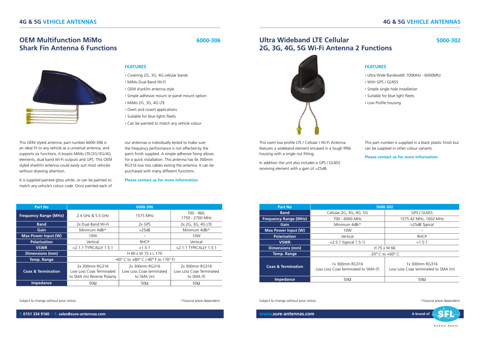## **OEM Multifunction MiMo** 6000-306 **Shark Fin Antenna 6 Functions**



This OEM styled antenna, part number 6000-306 is an ideal fit to any vehicle as a universal antenna, and supports six functions. It boasts MiMo LTE/2G/3G/4G elements, dual band Wi-Fi outputs and GPS. This OEM styled sharkfin antenna could easily suit most vehicles

It is supplied painted gloss white, or can be painted to match any vehicle's colour code. Once painted each of

without drawing attention.

- **>** Covering 2G, 3G, 4G cellular bands
- **>** MiMo Dual Band Wi-Fi

**FEATURES**

- **>** OEM sharkfin antenna style
- **>** Simple adhesive mount or panel mount option
- **>** MiMo 2G, 3G, 4G LTE
- **>** Overt and covert applications
- **>** Suitable for blue lights fleets
- **>** Can be painted to match any vehicle colour

our antennas is individually tested to make sure the frequency performance is not affected by the paint finish supplied. A simple adhesive fixing allows for a quick installation. This antenna has 6x 300mm RG316 low loss cables exiting the antenna. It can be purchased with many different functions.

**Please contact us for more information**.

| <b>Part No</b>                | 6000-306                                                                  |                                                          |                                                          |  |
|-------------------------------|---------------------------------------------------------------------------|----------------------------------------------------------|----------------------------------------------------------|--|
| <b>Frequency Range (MHz)</b>  | 2.4 GHz & 5.5 GHz                                                         | 1575 MHz                                                 | 700 - 960,<br>1750 - 2700 MHz                            |  |
| <b>Band</b>                   | 2x Dual Band Wi-Fi                                                        | 2x GPS                                                   | 2x 2G, 3G, 4G LTE                                        |  |
| Gain                          | Minimum 4dBi*                                                             | >25dB                                                    | Minimum 4dBi*                                            |  |
| Max Power Input (W)           | 10W                                                                       | -                                                        | 10W                                                      |  |
| <b>Polarisation</b>           | Vertical                                                                  | RHCP                                                     | Vertical                                                 |  |
| <b>VSWR</b>                   | $<$ 2.1:1 TYPICALLY 1.5:1                                                 | <1.5:1                                                   | $<$ 2.1:1 TYPICALLY 1.5:1                                |  |
| Dimensions (mm)               | H 60 x W 75 x L 170                                                       |                                                          |                                                          |  |
| <b>Temp. Range</b>            | $-40^{\circ}$ C to $+80^{\circ}$ C (-40° F to 176° F)                     |                                                          |                                                          |  |
| <b>Coax &amp; Termination</b> | 2x 300mm RG316<br>Low Loss Coax Terminated<br>to SMA (m) Reverse Polarity | 2x 300mm RG316<br>Low Loss Coax terminated<br>to SMA (m) | 2x 300mm RG316<br>Low Loss Coax Terminated<br>to SMA (f) |  |
| Impedance                     | 50 $\Omega$                                                               | 50 $\Omega$                                              | 50 $\Omega$                                              |  |

Subject to change without prior notice.  $*G$  and plane dependent. Subject to change without prior notice.  $*G$  and plane dependent.

# **Ultra Wideband LTE Cellular 5000-302 2G, 3G, 4G, 5G Wi-Fi Antenna 2 Functions**



This overt low profile LTE / Cellular / Wi-Fi Antenna features a wideband element encased in a tough IP66

In addition the unit also includes a GPS / GLNSS receiving element with a gain of >25dB.

housing with a single nut fitting.

### **FEATURES**

- **>** Ultra Wide Bandwidth 700MHz 6000Mhz
- **>** With GPS / GLNSS
- **>** Simple single hole installation
- **>** Suitable for blue light fleets
- **>** Low Profile housing

This part number is supplied in a black plastic finish but can be supplied in other colour variants.

**Please contact us for more information**.

| Part No                       | 5000-302                                              |                                                       |  |
|-------------------------------|-------------------------------------------------------|-------------------------------------------------------|--|
| <b>Band</b>                   | Cellular 2G, 3G, 4G, 5G                               | GPS / GLNSS                                           |  |
| <b>Frequency Range (MHz)</b>  | 700 - 6000 MHz                                        | 1575.42 MHz, 1602 MHz                                 |  |
| Gain                          | Minimum 4dBi*                                         | >25dB Typical                                         |  |
| Max Power Input (W)           | 10W                                                   |                                                       |  |
| <b>Polarisation</b>           | Vertical                                              | <b>RHCP</b>                                           |  |
| <b>VSWR</b>                   | $<$ 2.5:1 (typical 1.5:1)                             | < 1.5:1                                               |  |
| Dimensions (mm)               | H 75 x W 66                                           |                                                       |  |
| <b>Temp. Range</b>            | $-20^{\circ}$ C to $+60^{\circ}$ C                    |                                                       |  |
| <b>Coax &amp; Termination</b> | 1x 300mm RG316<br>Low Loss Coax terminated to SMA (f) | 1x 300mm RG316<br>Low Loss Coax terminated to SMA (m) |  |
| <b>Impedance</b>              | $50\Omega$                                            | 50 $\Omega$                                           |  |

**T. 0151 334 9160** | **E. sales@sure-antennas.com www.sure-antennas.com A brand of**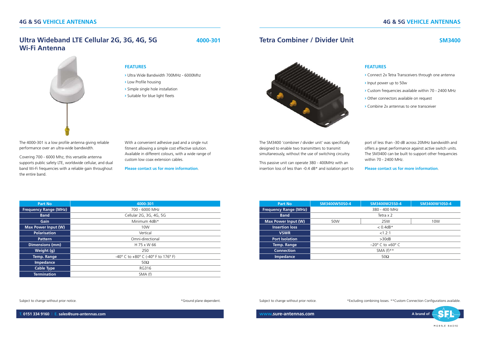## **Ultra Wideband LTE Cellular 2G, 3G, 4G, 5G 4000-301 Wi-Fi Antenna**



The 4000-301 is a low profile antenna giving reliable performance over an ultra-wide bandwidth. Covering 700 - 6000 Mhz, this versatile antenna supports public safety LTE, worldwide cellular, and dual band Wi-Fi frequencies with a reliable gain throughout

### **FEATURES**

**>** Ultra Wide Bandwidth 700MHz - 6000Mhz

With a convenient adhesive pad and a single nut fitment allowing a simple cost effective solution. Available in different colours, with a wide range of

**Please contact us for more information**.

custom low coax extension cables.

- **>** Low Profile housing
- **>** Simple single hole installation
- **>** Suitable for blue light fleets



The SM3400 'combiner / divider unit' was specifically designed to enable two transmitters to transmit simultaneously, without the use of switching circuitry.

This passive unit can operate 380 - 400MHz with an insertion loss of less than -0.4 dB\* and isolation port to port of less than -30 dB across 20MHz bandwidth and offers a great performance against active switch units. The SM3400 can be built to support other frequencies within 70 - 2400 MHz.

**>** Connect 2x Tetra Transceivers through one antenna

**>** Custom frequencies available within 70 - 2400 MHz

**>** Other connectors available on request **>** Combine 2x antennas to one transceiver

**Please contact us for more information**.

| Part No             | 4000-301                            | <b>Part No</b>             |
|---------------------|-------------------------------------|----------------------------|
| ency Range (MHz)    | 700 - 6000 MHz                      | <b>Frequency Range (MF</b> |
| <b>Band</b>         | Cellular 2G, 3G, 4G, 5G             | <b>Band</b>                |
| Gain                | Minimum 4dBi*                       | <b>Max Power Input (V)</b> |
| Power Input (W)     | 10 <sub>W</sub>                     | <b>Insertion loss</b>      |
| <b>Polarisation</b> | Vertical                            | <b>VSWR</b>                |
| <b>Pattern</b>      | Omni-directional                    | <b>Port Isolation</b>      |
| mensions (mm)       | H 75 x W 66                         | <b>Temp. Range</b>         |
| Weight (g)          | 250                                 | <b>Connection</b>          |
| Temp. Range         | -40° C to +80° C (-40° F to 176° F) | <b>Impedance</b>           |
| Impedance           | 50 $\Omega$                         |                            |
| <b>Cable Type</b>   | RG316                               |                            |
| <b>Termination</b>  | SMA (f)                             |                            |

### **Part No SM3400W50S0-4 SM3400W25S0-4 SM3400W10S0-4 Frequency Range (MHz)** 380 - 400 MHz **Band** Tetra x 2 **Max Power Input (W)** 50W 10W 25W 10W  $<$  0.4dB\* **VSWR** <1.2:1 **Port Isolation** >30dB  $-20^\circ$  C to  $+60^\circ$  C **SMA (f)\*\* Impedance** 50Ω

**Tetra Combiner / Divider Unit SM3400** 

**FEATURES**

**>** Input power up to 50w

**Part No Frequency Range (MHz)** 

the entire band.

**Max Power Input (W) Polarisation** 

**Dimensions (mm) Weight (g) Temp. Range Impedance Cable Type** 

Subject to change without prior notice. The change without prior notice and a subject to change without prior notice. The subject to change without prior notice. The subject to change without prior notice. The subject to c

#### **T. 0151 334 9160** | **E. sales@sure-antennas.com www.sure-antennas.com A brand of**

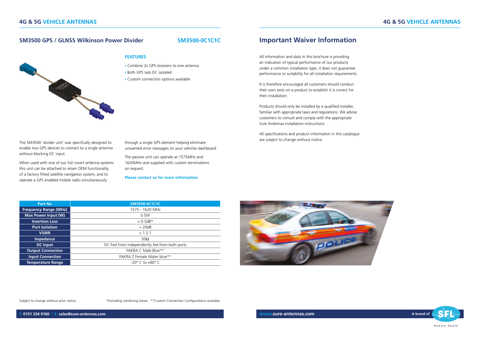## **SM3500 GPS / GLNSS Wilkinson Power Divider SM3500-0C1C1C**



## **FEATURES**

**>** Combine 2x GPS receivers to one antenna **>** Both GPS tails DC isolated **>** Custom connection options available

The SM3500 'divider unit' was specifically designed to enable two GPS devices to connect to a single antenna without blocking DC input.

When used with one of our full covert antenna systems this unit can be attached to retain OEM functionality of a factory fitted satellite navigation system, and to operate a GPS enabled mobile radio simultaneously

through a single GPS element helping eliminate unwanted error messages on your vehicles dashboard.

The passive unit can operate at 1575MHz and 1620MHz and supplied with custom terminations on request.

**Please contact us for more information**.

## **Important Waiver Information**

All information and data in this brochure is providing an indication of typical performance of our products under a common installation type, it does not guarantee performance or suitability for all installation requirements.

It is therefore encouraged all customers should conduct their own tests on a product to establish it is correct for their installation.

Products should only be installed by a qualified installer, familiar with appropriate laws and regulations. We advise customers to consult and comply with the appropriate Sure Antennas installation instructions.

All specifications and product information in this catalogue are subject to change without notice.

| <b>Part No</b>               | SM3500-0C1C1C                                 |  |
|------------------------------|-----------------------------------------------|--|
| <b>Frequency Range (MHz)</b> | 1575 - 1620 MHz                               |  |
| Max Power Input (W)          | 0.5W                                          |  |
| <b>Insertion Loss</b>        | $< 0.5$ dB*                                   |  |
| <b>Port Isolation</b>        | $>$ 20dB                                      |  |
| <b>VSWR</b>                  | < 1.2:1                                       |  |
| <b>Impedance</b>             | 50 $\Omega$                                   |  |
| <b>DC</b> Input              | DC Fed From independently fed from both ports |  |
| <b>Output Connection</b>     | FAKRA C Male Blue**                           |  |
| <b>Input Connection</b>      | FAKRA Z Female Water blue**                   |  |
| <b>Temperature Range</b>     | $-20^{\circ}$ C to $+60^{\circ}$ C            |  |



Subject to change without prior notice. \*Excluding combining losses. \*\*Custom Connection Configurations available.